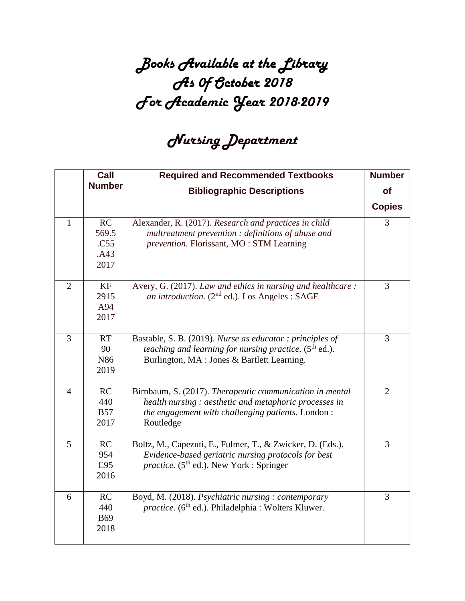## *Books Available at the Library As 0f October 2018 For Academic Year 2018-2019*

## *Nursing Department*

|                | Call                                | <b>Required and Recommended Textbooks</b>                                                                                                                                           | <b>Number</b>  |
|----------------|-------------------------------------|-------------------------------------------------------------------------------------------------------------------------------------------------------------------------------------|----------------|
|                | <b>Number</b>                       | <b>Bibliographic Descriptions</b>                                                                                                                                                   | <b>of</b>      |
|                |                                     |                                                                                                                                                                                     | <b>Copies</b>  |
| $\mathbf{1}$   | RC<br>569.5<br>.C55<br>.A43<br>2017 | Alexander, R. (2017). Research and practices in child<br>maltreatment prevention : definitions of abuse and<br>prevention. Florissant, MO: STM Learning                             | 3              |
| $\overline{2}$ | KF<br>2915<br>A94<br>2017           | Avery, G. (2017). Law and ethics in nursing and healthcare:<br>an introduction. $(2^{nd}$ ed.). Los Angeles : SAGE                                                                  | 3              |
| $\overline{3}$ | RT<br>90<br>N86<br>2019             | Bastable, S. B. (2019). Nurse as educator: principles of<br><i>teaching and learning for nursing practice.</i> $(5th$ ed.).<br>Burlington, MA : Jones & Bartlett Learning.          | 3              |
| $\overline{4}$ | RC<br>440<br><b>B57</b><br>2017     | Birnbaum, S. (2017). Therapeutic communication in mental<br>health nursing: aesthetic and metaphoric processes in<br>the engagement with challenging patients. London:<br>Routledge | $\overline{2}$ |
| 5              | RC<br>954<br>E95<br>2016            | Boltz, M., Capezuti, E., Fulmer, T., & Zwicker, D. (Eds.).<br>Evidence-based geriatric nursing protocols for best<br><i>practice.</i> (5 <sup>th</sup> ed.). New York : Springer    | 3              |
| 6              | RC<br>440<br><b>B69</b><br>2018     | Boyd, M. (2018). Psychiatric nursing: contemporary<br>practice. (6 <sup>th</sup> ed.). Philadelphia : Wolters Kluwer.                                                               | 3              |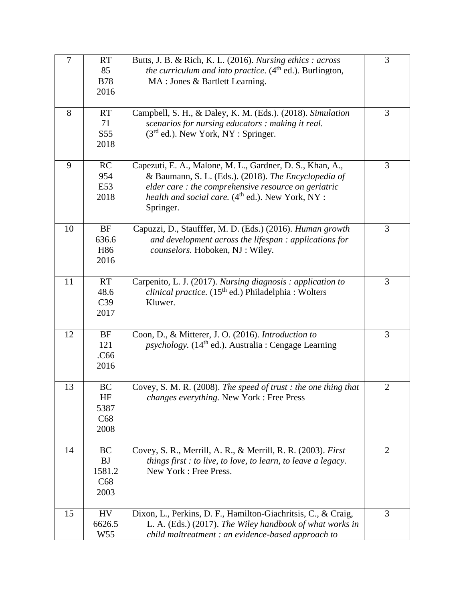| $\tau$ | <b>RT</b><br>85                                 | Butts, J. B. & Rich, K. L. (2016). Nursing ethics: across<br>the curriculum and into practice. (4 <sup>th</sup> ed.). Burlington,                                                                                                                      | 3              |
|--------|-------------------------------------------------|--------------------------------------------------------------------------------------------------------------------------------------------------------------------------------------------------------------------------------------------------------|----------------|
|        | <b>B78</b><br>2016                              | MA : Jones & Bartlett Learning.                                                                                                                                                                                                                        |                |
| 8      | <b>RT</b><br>71<br>S <sub>55</sub><br>2018      | Campbell, S. H., & Daley, K. M. (Eds.). (2018). Simulation<br>scenarios for nursing educators : making it real.<br>(3 <sup>rd</sup> ed.). New York, NY : Springer.                                                                                     | 3              |
| 9      | RC<br>954<br>E53<br>2018                        | Capezuti, E. A., Malone, M. L., Gardner, D. S., Khan, A.,<br>& Baumann, S. L. (Eds.). (2018). The Encyclopedia of<br>elder care: the comprehensive resource on geriatric<br>health and social care. (4 <sup>th</sup> ed.). New York, NY :<br>Springer. | 3              |
| 10     | BF<br>636.6<br>H86<br>2016                      | Capuzzi, D., Staufffer, M. D. (Eds.) (2016). Human growth<br>and development across the lifespan $:$ applications for<br>counselors. Hoboken, NJ : Wiley.                                                                                              | 3              |
| 11     | <b>RT</b><br>48.6<br>C <sub>39</sub><br>2017    | Carpenito, L. J. (2017). Nursing diagnosis: application to<br><i>clinical practice.</i> (15 <sup>th</sup> ed.) Philadelphia : Wolters<br>Kluwer.                                                                                                       | 3              |
| 12     | BF<br>121<br>.C66<br>2016                       | Coon, D., & Mitterer, J. O. (2016). Introduction to<br><i>psychology.</i> $(14th$ ed.). Australia : Cengage Learning                                                                                                                                   | 3              |
| 13     | <b>BC</b><br>HF<br>5387<br>C68<br>2008          | Covey, S. M. R. (2008). The speed of trust : the one thing that<br><i>changes everything.</i> New York: Free Press                                                                                                                                     | $\overline{2}$ |
| 14     | <b>BC</b><br><b>BJ</b><br>1581.2<br>C68<br>2003 | Covey, S. R., Merrill, A. R., & Merrill, R. R. (2003). First<br>things first : to live, to love, to learn, to leave a legacy.<br>New York: Free Press.                                                                                                 | $\overline{2}$ |
| 15     | <b>HV</b><br>6626.5<br>W <sub>55</sub>          | Dixon, L., Perkins, D. F., Hamilton-Giachritsis, C., & Craig,<br>L. A. (Eds.) (2017). The Wiley handbook of what works in<br>child maltreatment : an evidence-based approach to                                                                        | 3              |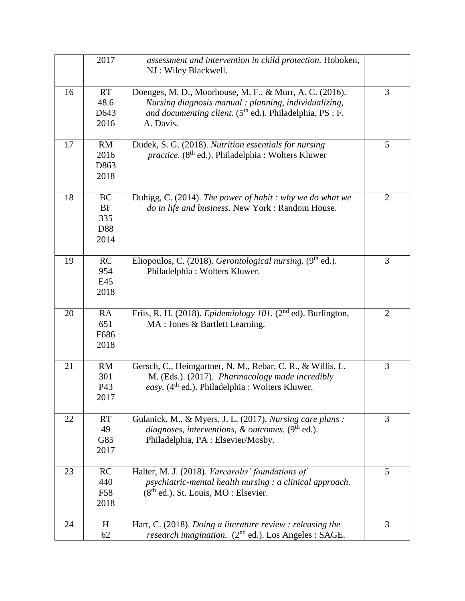|    | 2017            | assessment and intervention in child protection. Hoboken,<br>NJ: Wiley Blackwell. |                |
|----|-----------------|-----------------------------------------------------------------------------------|----------------|
| 16 | <b>RT</b>       | Doenges, M. D., Moorhouse, M. F., & Murr, A. C. (2016).                           | 3              |
|    | 48.6            | Nursing diagnosis manual : planning, individualizing,                             |                |
|    | D643            | and documenting client. $(5th$ ed.). Philadelphia, PS : F.                        |                |
|    | 2016            | A. Davis.                                                                         |                |
|    |                 |                                                                                   |                |
| 17 | RM              | Dudek, S. G. (2018). Nutrition essentials for nursing                             | 5              |
|    | 2016            | practice. (8 <sup>th</sup> ed.). Philadelphia : Wolters Kluwer                    |                |
|    | D863            |                                                                                   |                |
|    | 2018            |                                                                                   |                |
|    |                 |                                                                                   |                |
| 18 | <b>BC</b><br>BF | Duhigg, C. (2014). The power of habit : why we do what we                         | $\overline{2}$ |
|    | 335             | do in life and business. New York : Random House.                                 |                |
|    | D88             |                                                                                   |                |
|    | 2014            |                                                                                   |                |
|    |                 |                                                                                   |                |
| 19 | RC              | Eliopoulos, C. (2018). Gerontological nursing. (9 <sup>th</sup> ed.).             | 3              |
|    | 954             | Philadelphia: Wolters Kluwer.                                                     |                |
|    | E45             |                                                                                   |                |
|    | 2018            |                                                                                   |                |
|    |                 |                                                                                   |                |
| 20 | <b>RA</b>       | Friis, R. H. (2018). <i>Epidemiology 101</i> . (2 <sup>nd</sup> ed). Burlington,  | $\overline{2}$ |
|    | 651             | MA : Jones & Bartlett Learning.                                                   |                |
|    | F686            |                                                                                   |                |
|    | 2018            |                                                                                   |                |
| 21 | RM              | Gersch, C., Heimgartner, N. M., Rebar, C. R., & Willis, L.                        | 3              |
|    | 301             | M. (Eds.). (2017). Pharmacology made incredibly                                   |                |
|    | P43             | easy. (4 <sup>th</sup> ed.). Philadelphia : Wolters Kluwer.                       |                |
|    | 2017            |                                                                                   |                |
|    |                 |                                                                                   |                |
| 22 | <b>RT</b>       | Gulanick, M., & Myers, J. L. (2017). Nursing care plans :                         | 3              |
|    | 49              | diagnoses, interventions, $\&$ outcomes. (9 <sup>th</sup> ed.).                   |                |
|    | G85             | Philadelphia, PA : Elsevier/Mosby.                                                |                |
|    | 2017            |                                                                                   |                |
| 23 | RC              | Halter, M. J. (2018). Varcarolis' foundations of                                  | 5              |
|    | 440             | psychiatric-mental health nursing : a clinical approach.                          |                |
|    | F58             | $(8th$ ed.). St. Louis, MO : Elsevier.                                            |                |
|    | 2018            |                                                                                   |                |
|    |                 |                                                                                   |                |
| 24 | H               | Hart, C. (2018). Doing a literature review : releasing the                        | 3              |
|    | 62              | research imagination. (2 <sup>nd</sup> ed.). Los Angeles : SAGE.                  |                |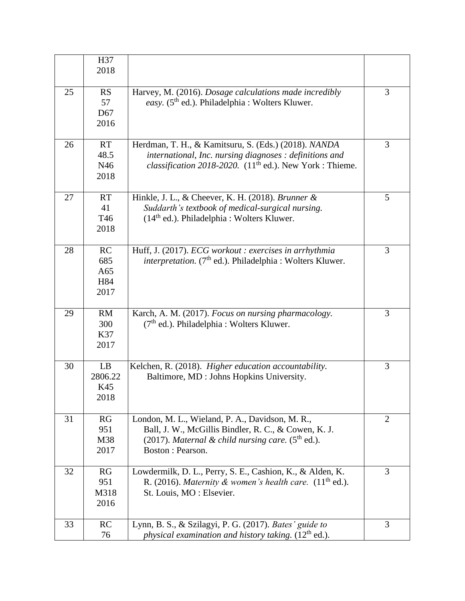|    | H37<br>2018                                |                                                                                                                                                                                                |                |
|----|--------------------------------------------|------------------------------------------------------------------------------------------------------------------------------------------------------------------------------------------------|----------------|
| 25 | <b>RS</b><br>57<br>D <sub>67</sub><br>2016 | Harvey, M. (2016). Dosage calculations made incredibly<br>easy. (5 <sup>th</sup> ed.). Philadelphia : Wolters Kluwer.                                                                          | 3              |
| 26 | <b>RT</b><br>48.5<br>N46<br>2018           | Herdman, T. H., & Kamitsuru, S. (Eds.) (2018). NANDA<br>international, Inc. nursing diagnoses : definitions and<br><i>classification 2018-2020.</i> (11 <sup>th</sup> ed.). New York : Thieme. | 3              |
| 27 | <b>RT</b><br>41<br>T <sub>46</sub><br>2018 | Hinkle, J. L., & Cheever, K. H. (2018). Brunner &<br>Suddarth's textbook of medical-surgical nursing.<br>$(14th$ ed.). Philadelphia : Wolters Kluwer.                                          | 5              |
| 28 | RC<br>685<br>A65<br>H84<br>2017            | Huff, J. (2017). ECG workout : exercises in arrhythmia<br>interpretation. (7 <sup>th</sup> ed.). Philadelphia : Wolters Kluwer.                                                                | 3              |
| 29 | RM<br>300<br>K37<br>2017                   | Karch, A. M. (2017). Focus on nursing pharmacology.<br>$(7th$ ed.). Philadelphia : Wolters Kluwer.                                                                                             | 3              |
| 30 | LB<br>2806.22<br>K45<br>2018               | Kelchen, R. (2018). Higher education accountability.<br>Baltimore, MD : Johns Hopkins University.                                                                                              | 3              |
| 31 | RG<br>951<br>M38<br>2017                   | London, M. L., Wieland, P. A., Davidson, M. R.,<br>Ball, J. W., McGillis Bindler, R. C., & Cowen, K. J.<br>(2017). Maternal & child nursing care. $(5th$ ed.).<br>Boston: Pearson.             | $\overline{2}$ |
| 32 | RG<br>951<br>M318<br>2016                  | Lowdermilk, D. L., Perry, S. E., Cashion, K., & Alden, K.<br>R. (2016). Maternity & women's health care. (11 <sup>th</sup> ed.).<br>St. Louis, MO: Elsevier.                                   | 3              |
| 33 | RC<br>76                                   | Lynn, B. S., & Szilagyi, P. G. (2017). Bates' guide to<br>physical examination and history taking. $(12th$ ed.).                                                                               | 3              |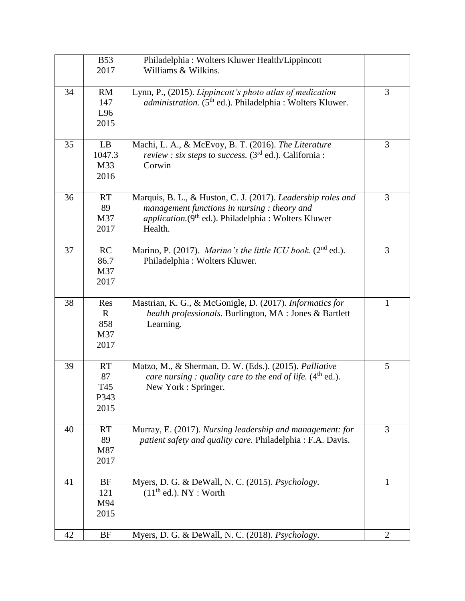|    | <b>B53</b><br>2017                        | Philadelphia: Wolters Kluwer Health/Lippincott<br>Williams & Wilkins.                                                                                                                              |                |
|----|-------------------------------------------|----------------------------------------------------------------------------------------------------------------------------------------------------------------------------------------------------|----------------|
| 34 | <b>RM</b><br>147<br>L96<br>2015           | Lynn, P., (2015). Lippincott's photo atlas of medication<br>administration. (5 <sup>th</sup> ed.). Philadelphia : Wolters Kluwer.                                                                  | 3              |
| 35 | LB<br>1047.3<br>M33<br>2016               | Machi, L. A., & McEvoy, B. T. (2016). The Literature<br><i>review : six steps to success.</i> $(3rd ed.)$ . California :<br>Corwin                                                                 | 3              |
| 36 | <b>RT</b><br>89<br>M37<br>2017            | Marquis, B. L., & Huston, C. J. (2017). Leadership roles and<br>management functions in nursing: theory and<br><i>application.</i> (9 <sup>th</sup> ed.). Philadelphia : Wolters Kluwer<br>Health. | 3              |
| 37 | RC<br>86.7<br>M37<br>2017                 | Marino, P. (2017). Marino's the little ICU book. (2 <sup>nd</sup> ed.).<br>Philadelphia: Wolters Kluwer.                                                                                           | 3              |
| 38 | Res<br>$\mathbf{R}$<br>858<br>M37<br>2017 | Mastrian, K. G., & McGonigle, D. (2017). Informatics for<br>health professionals. Burlington, MA : Jones & Bartlett<br>Learning.                                                                   | $\mathbf{1}$   |
| 39 | <b>RT</b><br>87<br>T45<br>P343<br>2015    | Matzo, M., & Sherman, D. W. (Eds.). (2015). Palliative<br>care nursing : quality care to the end of life. $(4th$ ed.).<br>New York : Springer.                                                     | 5              |
| 40 | <b>RT</b><br>89<br>M87<br>2017            | Murray, E. (2017). Nursing leadership and management: for<br>patient safety and quality care. Philadelphia : F.A. Davis.                                                                           | 3              |
| 41 | BF<br>121<br>M94<br>2015                  | Myers, D. G. & DeWall, N. C. (2015). <i>Psychology</i> .<br>$(11th$ ed.). NY : Worth                                                                                                               | 1              |
| 42 | <b>BF</b>                                 | Myers, D. G. & DeWall, N. C. (2018). Psychology.                                                                                                                                                   | $\overline{2}$ |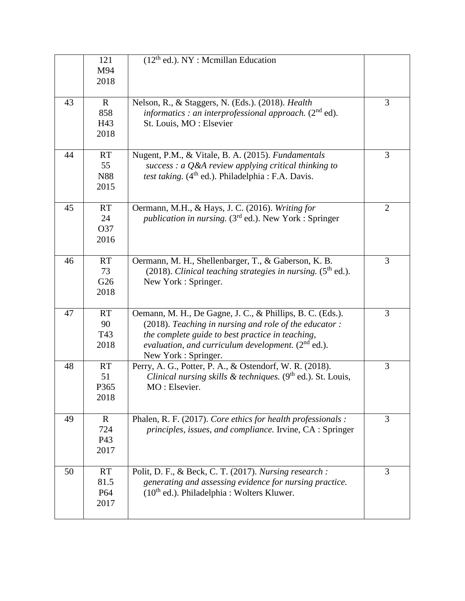|    | 121<br>M94<br>2018                           | $(12th$ ed.). NY : Mcmillan Education                                                                                                                                                                                                                       |                |
|----|----------------------------------------------|-------------------------------------------------------------------------------------------------------------------------------------------------------------------------------------------------------------------------------------------------------------|----------------|
| 43 | $\mathbf R$<br>858<br>H43<br>2018            | Nelson, R., & Staggers, N. (Eds.). (2018). Health<br>informatics : an interprofessional approach. $(2^{nd}$ ed).<br>St. Louis, MO : Elsevier                                                                                                                | 3              |
| 44 | <b>RT</b><br>55<br>N88<br>2015               | Nugent, P.M., & Vitale, B. A. (2015). Fundamentals<br>success : a $Q$ &A review applying critical thinking to<br><i>test taking.</i> (4 <sup>th</sup> ed.). Philadelphia : F.A. Davis.                                                                      | 3              |
| 45 | <b>RT</b><br>24<br>O37<br>2016               | Oermann, M.H., & Hays, J. C. (2016). Writing for<br><i>publication in nursing.</i> $(3rd ed.)$ . New York : Springer                                                                                                                                        | $\overline{2}$ |
| 46 | <b>RT</b><br>73<br>G <sub>26</sub><br>2018   | Oermann, M. H., Shellenbarger, T., & Gaberson, K. B.<br>(2018). Clinical teaching strategies in nursing. $(5th$ ed.).<br>New York : Springer.                                                                                                               | 3              |
| 47 | <b>RT</b><br>90<br>T43<br>2018               | Oemann, M. H., De Gagne, J. C., & Phillips, B. C. (Eds.).<br>$(2018)$ . Teaching in nursing and role of the educator:<br>the complete guide to best practice in teaching,<br>evaluation, and curriculum development. $(2^{nd}$ ed.).<br>New York: Springer. | 3              |
| 48 | RT<br>51<br>P365<br>2018                     | Perry, A. G., Potter, P. A., & Ostendorf, W. R. (2018).<br>Clinical nursing skills & techniques. $(9th$ ed.). St. Louis,<br>MO: Elsevier.                                                                                                                   | 3              |
| 49 | $\mathbf{R}$<br>724<br>P43<br>2017           | Phalen, R. F. (2017). Core ethics for health professionals :<br>principles, issues, and compliance. Irvine, CA : Springer                                                                                                                                   | 3              |
| 50 | <b>RT</b><br>81.5<br>P <sub>64</sub><br>2017 | Polit, D. F., & Beck, C. T. (2017). Nursing research :<br>generating and assessing evidence for nursing practice.<br>$(10th$ ed.). Philadelphia : Wolters Kluwer.                                                                                           | 3              |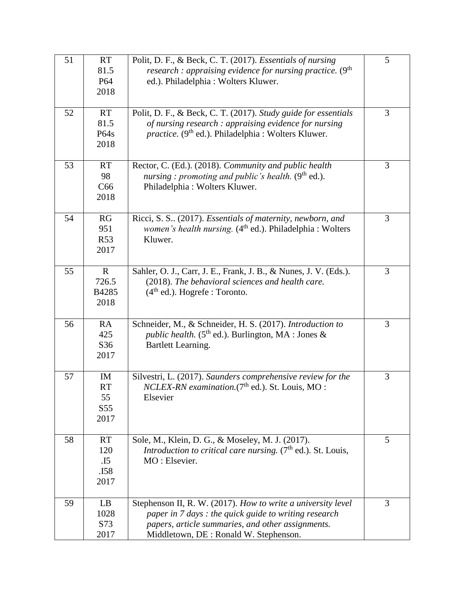| 51 | <b>RT</b><br>81.5<br>P64<br>2018                 | Polit, D. F., & Beck, C. T. (2017). Essentials of nursing<br>research : appraising evidence for nursing practice. $(9th$<br>ed.). Philadelphia : Wolters Kluwer.                                                    | 5 |
|----|--------------------------------------------------|---------------------------------------------------------------------------------------------------------------------------------------------------------------------------------------------------------------------|---|
| 52 | <b>RT</b><br>81.5<br>P64s<br>2018                | Polit, D. F., & Beck, C. T. (2017). Study guide for essentials<br>of nursing research : appraising evidence for nursing<br>practice. (9 <sup>th</sup> ed.). Philadelphia : Wolters Kluwer.                          | 3 |
| 53 | <b>RT</b><br>98<br>C66<br>2018                   | Rector, C. (Ed.). (2018). Community and public health<br>nursing: promoting and public's health. $(9th$ ed.).<br>Philadelphia: Wolters Kluwer.                                                                      | 3 |
| 54 | RG<br>951<br><b>R53</b><br>2017                  | Ricci, S. S (2017). Essentials of maternity, newborn, and<br>women's health nursing. (4 <sup>th</sup> ed.). Philadelphia : Wolters<br>Kluwer.                                                                       | 3 |
| 55 | $\mathbf R$<br>726.5<br>B4285<br>2018            | Sahler, O. J., Carr, J. E., Frank, J. B., & Nunes, J. V. (Eds.).<br>(2018). The behavioral sciences and health care.<br>$(4th$ ed.). Hogrefe : Toronto.                                                             | 3 |
| 56 | RA<br>425<br>S36<br>2017                         | Schneider, M., & Schneider, H. S. (2017). Introduction to<br><i>public health.</i> ( $5th$ ed.). Burlington, MA : Jones &<br>Bartlett Learning.                                                                     | 3 |
| 57 | IM<br><b>RT</b><br>55<br>S <sub>55</sub><br>2017 | Silvestri, L. (2017). Saunders comprehensive review for the<br>NCLEX-RN examination.(7 <sup>th</sup> ed.). St. Louis, MO:<br>Elsevier                                                                               | 3 |
| 58 | <b>RT</b><br>120<br>.15<br>.I58<br>2017          | Sole, M., Klein, D. G., & Moseley, M. J. (2017).<br><i>Introduction to critical care nursing.</i> $(7th$ ed.). St. Louis,<br>MO: Elsevier.                                                                          | 5 |
| 59 | LB<br>1028<br>S73<br>2017                        | Stephenson II, R. W. (2017). How to write a university level<br>paper in 7 days : the quick guide to writing research<br>papers, article summaries, and other assignments.<br>Middletown, DE: Ronald W. Stephenson. | 3 |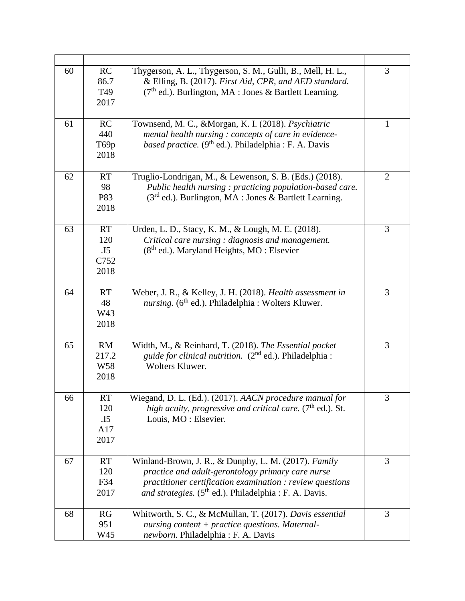| 60 | RC<br>86.7<br>T49<br>2017               | Thygerson, A. L., Thygerson, S. M., Gulli, B., Mell, H. L.,<br>& Elling, B. (2017). First Aid, CPR, and AED standard.<br>$(7th$ ed.). Burlington, MA : Jones & Bartlett Learning.                                                            | 3              |
|----|-----------------------------------------|----------------------------------------------------------------------------------------------------------------------------------------------------------------------------------------------------------------------------------------------|----------------|
| 61 | RC<br>440<br>T69p<br>2018               | Townsend, M. C., & Morgan, K. I. (2018). Psychiatric<br>mental health nursing: concepts of care in evidence-<br>based practice. (9 <sup>th</sup> ed.). Philadelphia : F. A. Davis                                                            | 1              |
| 62 | RT<br>98<br>P83<br>2018                 | Truglio-Londrigan, M., & Lewenson, S. B. (Eds.) (2018).<br>Public health nursing: practicing population-based care.<br>(3 <sup>rd</sup> ed.). Burlington, MA : Jones & Bartlett Learning.                                                    | $\overline{2}$ |
| 63 | <b>RT</b><br>120<br>.15<br>C752<br>2018 | Urden, L. D., Stacy, K. M., & Lough, M. E. (2018).<br>Critical care nursing : diagnosis and management.<br>$(8th$ ed.). Maryland Heights, MO : Elsevier                                                                                      | 3              |
| 64 | <b>RT</b><br>48<br>W43<br>2018          | Weber, J. R., & Kelley, J. H. (2018). Health assessment in<br>nursing. (6 <sup>th</sup> ed.). Philadelphia : Wolters Kluwer.                                                                                                                 | 3              |
| 65 | RM<br>217.2<br>W <sub>58</sub><br>2018  | Width, M., & Reinhard, T. (2018). The Essential pocket<br><i>guide for clinical nutrition.</i> (2 <sup>nd</sup> ed.). Philadelphia :<br>Wolters Kluwer.                                                                                      | 3              |
| 66 | <b>RT</b><br>120<br>.15<br>A17<br>2017  | Wiegand, D. L. (Ed.). (2017). AACN procedure manual for<br>high acuity, progressive and critical care. $(7th$ ed.). St.<br>Louis, MO : Elsevier.                                                                                             | 3              |
| 67 | <b>RT</b><br>120<br>F34<br>2017         | Winland-Brown, J. R., & Dunphy, L. M. (2017). Family<br>practice and adult-gerontology primary care nurse<br>practitioner certification examination : review questions<br>and strategies. (5 <sup>th</sup> ed.). Philadelphia : F. A. Davis. | 3              |
| 68 | RG<br>951<br>W45                        | Whitworth, S. C., & McMullan, T. (2017). Davis essential<br>nursing content $+$ practice questions. Maternal-<br>newborn. Philadelphia : F. A. Davis                                                                                         | $\overline{3}$ |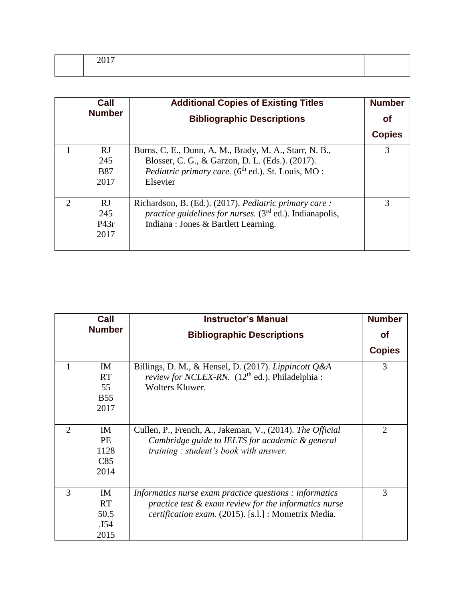| .  — |  |
|------|--|
|      |  |

|               | Call<br><b>Number</b>            | <b>Additional Copies of Existing Titles</b><br><b>Bibliographic Descriptions</b>                                                                                                               | <b>Number</b><br>Οf<br><b>Copies</b> |
|---------------|----------------------------------|------------------------------------------------------------------------------------------------------------------------------------------------------------------------------------------------|--------------------------------------|
|               | RJ.<br>245<br><b>B87</b><br>2017 | Burns, C. E., Dunn, A. M., Brady, M. A., Starr, N. B.,<br>Blosser, C. G., & Garzon, D. L. (Eds.). (2017).<br><i>Pediatric primary care.</i> (6 <sup>th</sup> ed.). St. Louis, MO :<br>Elsevier | 3                                    |
| $\mathcal{D}$ | RJ<br>245<br>P43r<br>2017        | Richardson, B. (Ed.). (2017). Pediatric primary care:<br><i>practice guidelines for nurses.</i> $(3rd$ ed.). Indianapolis,<br>Indiana : Jones & Bartlett Learning.                             | 3                                    |

|                | Call          | <b>Instructor's Manual</b>                                      | <b>Number</b> |
|----------------|---------------|-----------------------------------------------------------------|---------------|
|                | <b>Number</b> | <b>Bibliographic Descriptions</b>                               | Οf            |
|                |               |                                                                 | <b>Copies</b> |
| 1              | IM            | Billings, D. M., & Hensel, D. (2017). <i>Lippincott Q&amp;A</i> | 3             |
|                | <b>RT</b>     | review for NCLEX-RN. $(12th$ ed.). Philadelphia :               |               |
|                | 55            | Wolters Kluwer.                                                 |               |
|                | <b>B55</b>    |                                                                 |               |
|                | 2017          |                                                                 |               |
|                |               |                                                                 |               |
| $\overline{2}$ | <b>IM</b>     | Cullen, P., French, A., Jakeman, V., (2014). The Official       | 2             |
|                | PE            | Cambridge guide to IELTS for academic & general                 |               |
|                | 1128          | training : student's book with answer.                          |               |
|                | C85           |                                                                 |               |
|                | 2014          |                                                                 |               |
|                |               |                                                                 |               |
| 3              | IM            | Informatics nurse exam practice questions : informatics         | 3             |
|                | <b>RT</b>     | practice test $\&$ exam review for the informatics nurse        |               |
|                | 50.5          | certification exam. (2015). [s.l.] : Mometrix Media.            |               |
|                | .I54          |                                                                 |               |
|                | 2015          |                                                                 |               |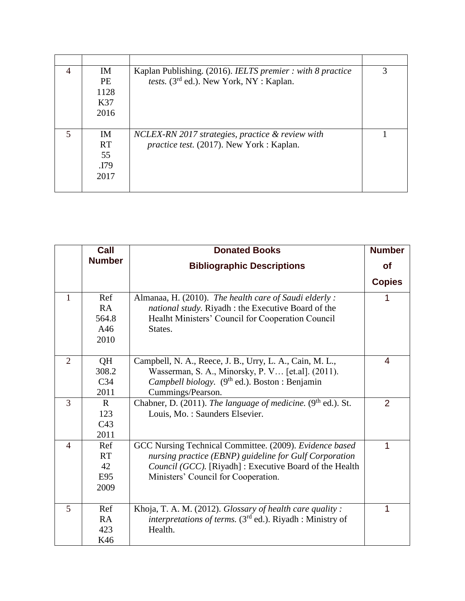| 4 | IM        | Kaplan Publishing. (2016). IELTS premier : with 8 practice | 3 |
|---|-----------|------------------------------------------------------------|---|
|   | <b>PE</b> | tests. (3 <sup>rd</sup> ed.). New York, NY : Kaplan.       |   |
|   | 1128      |                                                            |   |
|   | K37       |                                                            |   |
|   | 2016      |                                                            |   |
|   |           |                                                            |   |
| 5 | IM        | NCLEX-RN 2017 strategies, practice & review with           |   |
|   | <b>RT</b> | <i>practice test.</i> (2017). New York: Kaplan.            |   |
|   | 55        |                                                            |   |
|   | .I79      |                                                            |   |
|   | 2017      |                                                            |   |
|   |           |                                                            |   |

|                | Call<br><b>Number</b> | <b>Donated Books</b>                                                         | <b>Number</b> |
|----------------|-----------------------|------------------------------------------------------------------------------|---------------|
|                |                       | <b>Bibliographic Descriptions</b>                                            | <b>of</b>     |
|                |                       |                                                                              | <b>Copies</b> |
| $\mathbf{1}$   | Ref                   | Almanaa, H. (2010). The health care of Saudi elderly:                        | 1             |
|                | RA                    | <i>national study.</i> Riyadh : the Executive Board of the                   |               |
|                | 564.8                 | Healht Ministers' Council for Cooperation Council                            |               |
|                | A46                   | States.                                                                      |               |
|                | 2010                  |                                                                              |               |
| $\overline{2}$ |                       |                                                                              |               |
|                | QH                    | Campbell, N. A., Reece, J. B., Urry, L. A., Cain, M. L.,                     | 4             |
|                | 308.2                 | Wasserman, S. A., Minorsky, P. V [et.al]. (2011).                            |               |
|                | C <sub>34</sub>       | Campbell biology. (9 <sup>th</sup> ed.). Boston : Benjamin                   |               |
|                | 2011                  | Cummings/Pearson.                                                            |               |
| 3              | $\mathbf{R}$          | Chabner, D. (2011). The language of medicine. (9 <sup>th</sup> ed.). St.     | 2             |
|                | 123                   | Louis, Mo.: Saunders Elsevier.                                               |               |
|                | C43                   |                                                                              |               |
|                | 2011                  |                                                                              |               |
| $\overline{4}$ | Ref                   | GCC Nursing Technical Committee. (2009). Evidence based                      | 1             |
|                | <b>RT</b>             | nursing practice (EBNP) guideline for Gulf Corporation                       |               |
|                | 42                    | Council (GCC). [Riyadh] : Executive Board of the Health                      |               |
|                | E95                   | Ministers' Council for Cooperation.                                          |               |
|                | 2009                  |                                                                              |               |
|                |                       |                                                                              |               |
| 5              | Ref                   | Khoja, T. A. M. (2012). Glossary of health care quality:                     | 1             |
|                | <b>RA</b>             | <i>interpretations of terms.</i> (3 <sup>rd</sup> ed.). Riyadh : Ministry of |               |
|                | 423                   | Health.                                                                      |               |
|                | K46                   |                                                                              |               |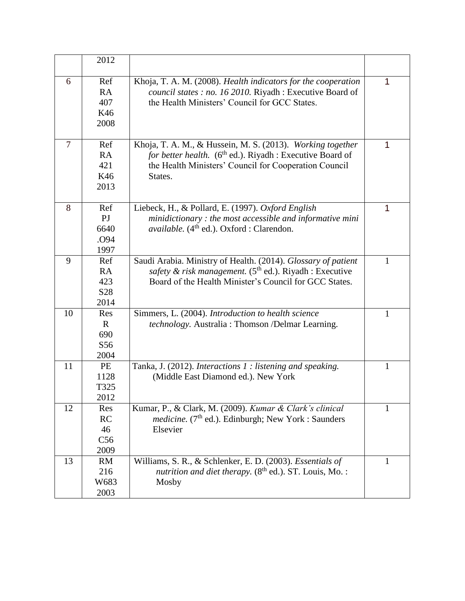|                | 2012                                          |                                                                                                                                                                                                         |              |
|----------------|-----------------------------------------------|---------------------------------------------------------------------------------------------------------------------------------------------------------------------------------------------------------|--------------|
| 6              | Ref<br><b>RA</b><br>407<br>K46<br>2008        | Khoja, T. A. M. (2008). Health indicators for the cooperation<br>council states : no. 16 2010. Riyadh : Executive Board of<br>the Health Ministers' Council for GCC States.                             | 1            |
| $\overline{7}$ | Ref<br><b>RA</b><br>421<br>K46<br>2013        | Khoja, T. A. M., & Hussein, M. S. (2013). Working together<br>for better health. (6 <sup>th</sup> ed.). Riyadh : Executive Board of<br>the Health Ministers' Council for Cooperation Council<br>States. | $\mathbf{1}$ |
| 8              | Ref<br>P <sub>J</sub><br>6640<br>.O94<br>1997 | Liebeck, H., & Pollard, E. (1997). Oxford English<br>minidictionary: the most accessible and informative mini<br><i>available.</i> (4 <sup>th</sup> ed.). Oxford : Clarendon.                           | 1            |
| 9              | Ref<br>RA<br>423<br>S <sub>28</sub><br>2014   | Saudi Arabia. Ministry of Health. (2014). Glossary of patient<br>safety & risk management. $(5th$ ed.). Riyadh : Executive<br>Board of the Health Minister's Council for GCC States.                    | 1            |
| 10             | Res<br>$\mathbf{R}$<br>690<br>S56<br>2004     | Simmers, L. (2004). Introduction to health science<br><i>technology.</i> Australia: Thomson /Delmar Learning.                                                                                           | 1            |
| 11             | PE<br>1128<br>T325<br>2012                    | Tanka, J. (2012). Interactions 1: listening and speaking.<br>(Middle East Diamond ed.). New York                                                                                                        | 1            |
| 12             | Res<br><b>RC</b><br>46<br>C56<br>2009         | Kumar, P., & Clark, M. (2009). Kumar & Clark's clinical<br><i>medicine.</i> (7 <sup>th</sup> ed.). Edinburgh; New York : Saunders<br>Elsevier                                                           |              |
| 13             | RM<br>216<br>W683<br>2003                     | Williams, S. R., & Schlenker, E. D. (2003). Essentials of<br>nutrition and diet therapy. $(8th$ ed.). ST. Louis, Mo. :<br>Mosby                                                                         | 1            |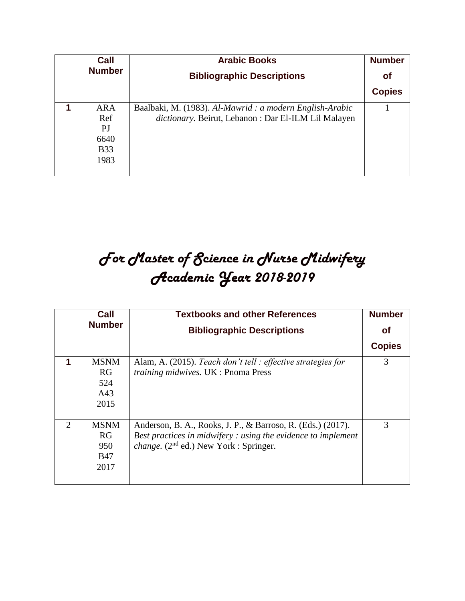| Call          | <b>Arabic Books</b>                                     | <b>Number</b> |
|---------------|---------------------------------------------------------|---------------|
| <b>Number</b> | <b>Bibliographic Descriptions</b>                       | οf            |
|               |                                                         | <b>Copies</b> |
| <b>ARA</b>    | Baalbaki, M. (1983). Al-Mawrid: a modern English-Arabic |               |
| Ref           | dictionary. Beirut, Lebanon : Dar El-ILM Lil Malayen    |               |
| PJ            |                                                         |               |
| 6640          |                                                         |               |
| <b>B</b> 33   |                                                         |               |
| 1983          |                                                         |               |
|               |                                                         |               |

## *For Master of Science in Nurse Midwifery Academic Year 2018-2019*

|                | Call<br><b>Number</b> | <b>Textbooks and other References</b>                        | <b>Number</b> |
|----------------|-----------------------|--------------------------------------------------------------|---------------|
|                |                       | <b>Bibliographic Descriptions</b>                            | <b>of</b>     |
|                |                       |                                                              | <b>Copies</b> |
| 1              | <b>MSNM</b>           | Alam, A. (2015). Teach don't tell: effective strategies for  | 3             |
|                | RG                    | <i>training midwives.</i> UK : Pnoma Press                   |               |
|                | 524                   |                                                              |               |
|                | A43                   |                                                              |               |
|                | 2015                  |                                                              |               |
|                |                       |                                                              |               |
| $\overline{2}$ | <b>MSNM</b>           | Anderson, B. A., Rooks, J. P., & Barroso, R. (Eds.) (2017).  | 3             |
|                | RG                    | Best practices in midwifery: using the evidence to implement |               |
|                | 950                   | <i>change.</i> ( $2nd$ ed.) New York : Springer.             |               |
|                | <b>B47</b>            |                                                              |               |
|                | 2017                  |                                                              |               |
|                |                       |                                                              |               |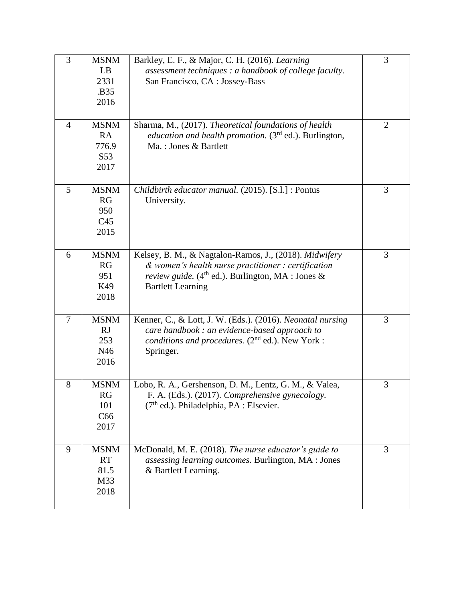| 3              | <b>MSNM</b><br>LB<br>2331<br>.B35<br>2016           | Barkley, E. F., & Major, C. H. (2016). Learning<br>assessment techniques : a handbook of college faculty.<br>San Francisco, CA : Jossey-Bass                                                                 | 3              |
|----------------|-----------------------------------------------------|--------------------------------------------------------------------------------------------------------------------------------------------------------------------------------------------------------------|----------------|
| $\overline{4}$ | <b>MSNM</b><br><b>RA</b><br>776.9<br>S53<br>2017    | Sharma, M., (2017). Theoretical foundations of health<br><i>education and health promotion.</i> (3 <sup>rd</sup> ed.). Burlington,<br>Ma.: Jones & Bartlett                                                  | $\overline{2}$ |
| 5              | <b>MSNM</b><br>RG<br>950<br>C <sub>45</sub><br>2015 | Childbirth educator manual. (2015). [S.l.] : Pontus<br>University.                                                                                                                                           | 3              |
| 6              | <b>MSNM</b><br>RG<br>951<br>K49<br>2018             | Kelsey, B. M., & Nagtalon-Ramos, J., (2018). Midwifery<br>$&$ women's health nurse practitioner : certification<br>review guide. (4 <sup>th</sup> ed.). Burlington, MA : Jones &<br><b>Bartlett Learning</b> | 3              |
| $\overline{7}$ | <b>MSNM</b><br><b>RJ</b><br>253<br>N46<br>2016      | Kenner, C., & Lott, J. W. (Eds.). (2016). Neonatal nursing<br>care handbook : an evidence-based approach to<br>conditions and procedures. (2 <sup>nd</sup> ed.). New York :<br>Springer.                     | 3              |
| 8              | <b>MSNM</b><br>RG<br>101<br>C66<br>2017             | Lobo, R. A., Gershenson, D. M., Lentz, G. M., & Valea,<br>F. A. (Eds.). (2017). Comprehensive gynecology.<br>$(7th$ ed.). Philadelphia, PA : Elsevier.                                                       | 3              |
| 9              | <b>MSNM</b><br><b>RT</b><br>81.5<br>M33<br>2018     | McDonald, M. E. (2018). The nurse educator's guide to<br>assessing learning outcomes. Burlington, MA : Jones<br>& Bartlett Learning.                                                                         | 3              |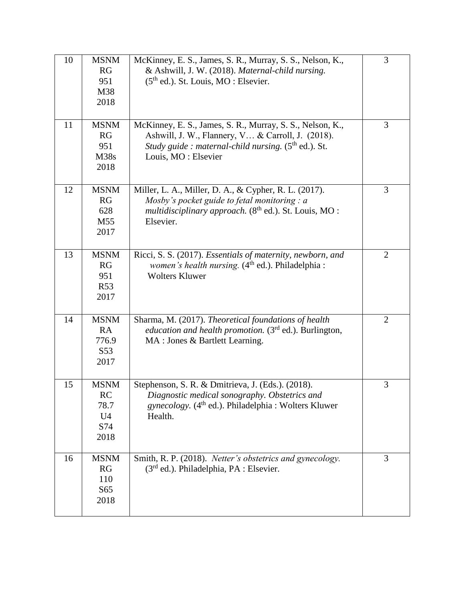| 10 | <b>MSNM</b><br>RG<br>951<br>M38<br>2018                           | McKinney, E. S., James, S. R., Murray, S. S., Nelson, K.,<br>& Ashwill, J. W. (2018). Maternal-child nursing.<br>$(5th$ ed.). St. Louis, MO : Elsevier.                                          | 3              |
|----|-------------------------------------------------------------------|--------------------------------------------------------------------------------------------------------------------------------------------------------------------------------------------------|----------------|
| 11 | <b>MSNM</b><br>RG<br>951<br>M38s<br>2018                          | McKinney, E. S., James, S. R., Murray, S. S., Nelson, K.,<br>Ashwill, J. W., Flannery, V & Carroll, J. (2018).<br>Study guide : maternal-child nursing. $(5th$ ed.). St.<br>Louis, MO : Elsevier | 3              |
| 12 | <b>MSNM</b><br>RG<br>628<br>M55<br>2017                           | Miller, L. A., Miller, D. A., & Cypher, R. L. (2017).<br>Mosby's pocket guide to fetal monitoring $: a$<br>multidisciplinary approach. (8 <sup>th</sup> ed.). St. Louis, MO :<br>Elsevier.       | 3              |
| 13 | <b>MSNM</b><br>RG<br>951<br>R53<br>2017                           | Ricci, S. S. (2017). Essentials of maternity, newborn, and<br>women's health nursing. (4 <sup>th</sup> ed.). Philadelphia :<br><b>Wolters Kluwer</b>                                             | $\overline{2}$ |
| 14 | <b>MSNM</b><br><b>RA</b><br>776.9<br>S <sub>53</sub><br>2017      | Sharma, M. (2017). Theoretical foundations of health<br><i>education and health promotion.</i> (3 <sup>rd</sup> ed.). Burlington,<br>MA: Jones & Bartlett Learning.                              | 2              |
| 15 | <b>MSNM</b><br><b>RC</b><br>78.7<br>U <sub>4</sub><br>S74<br>2018 | Stephenson, S. R. & Dmitrieva, J. (Eds.). (2018).<br>Diagnostic medical sonography. Obstetrics and<br>gynecology. (4 <sup>th</sup> ed.). Philadelphia : Wolters Kluwer<br>Health.                | 3              |
| 16 | <b>MSNM</b><br>RG<br>110<br>S65<br>2018                           | Smith, R. P. (2018). Netter's obstetrics and gynecology.<br>(3 <sup>rd</sup> ed.). Philadelphia, PA : Elsevier.                                                                                  | 3              |